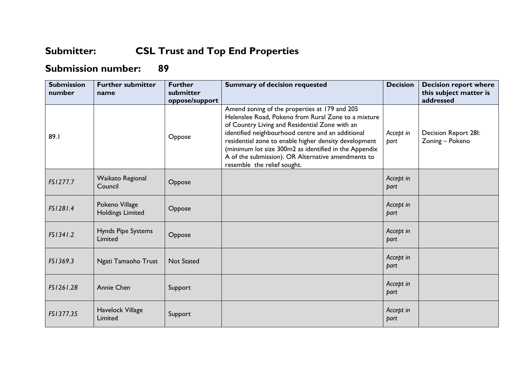## **Submitter: CSL Trust and Top End Properties**

## **Submission number: 89**

| <b>Submission</b><br>number | <b>Further submitter</b><br>name          | <b>Further</b><br>submitter<br>oppose/support | <b>Summary of decision requested</b>                                                                                                                                                                                                                                                                                                                                                                               | <b>Decision</b>   | <b>Decision report where</b><br>this subject matter is<br>addressed |
|-----------------------------|-------------------------------------------|-----------------------------------------------|--------------------------------------------------------------------------------------------------------------------------------------------------------------------------------------------------------------------------------------------------------------------------------------------------------------------------------------------------------------------------------------------------------------------|-------------------|---------------------------------------------------------------------|
| 89.1                        |                                           | Oppose                                        | Amend zoning of the properties at 179 and 205<br>Helenslee Road, Pokeno from Rural Zone to a mixture<br>of Country Living and Residential Zone with an<br>identified neighbourhood centre and an additional<br>residential zone to enable higher density development<br>(minimum lot size 300m2 as identified in the Appendix<br>A of the submission). OR Alternative amendments to<br>resemble the relief sought. | Accept in<br>part | Decision Report 28I:<br>Zoning - Pokeno                             |
| FS1277.7                    | Waikato Regional<br>Council               | Oppose                                        |                                                                                                                                                                                                                                                                                                                                                                                                                    | Accept in<br>part |                                                                     |
| FS1281.4                    | Pokeno Village<br><b>Holdings Limited</b> | Oppose                                        |                                                                                                                                                                                                                                                                                                                                                                                                                    | Accept in<br>part |                                                                     |
| FS1341.2                    | Hynds Pipe Systems<br>Limited             | Oppose                                        |                                                                                                                                                                                                                                                                                                                                                                                                                    | Accept in<br>part |                                                                     |
| FS1369.3                    | Ngati Tamaoho Trust                       | <b>Not Stated</b>                             |                                                                                                                                                                                                                                                                                                                                                                                                                    | Accept in<br>part |                                                                     |
| FS1261.28                   | <b>Annie Chen</b>                         | Support                                       |                                                                                                                                                                                                                                                                                                                                                                                                                    | Accept in<br>part |                                                                     |
| FS1377.35                   | Havelock Village<br>Limited               | Support                                       |                                                                                                                                                                                                                                                                                                                                                                                                                    | Accept in<br>part |                                                                     |